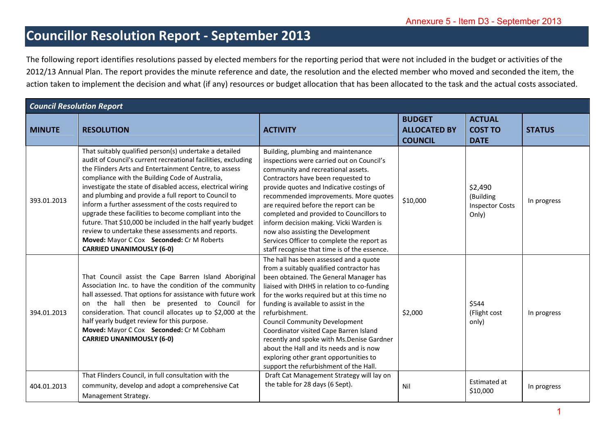## **Councillor Resolution Report ‐ September 2013**

|                                                                                                                                                                                                                                                                                                                                                                                                                                                                                                                    | Annexure 5 - Item D3 - September 2013                                                                                                                                                                                                                                                                                                                                                                                                                                                                                                                                                                                                                                             |                                                                                                                                                                                                                                                                                                                                                                                                                                                                                                                                                    |                                                        |                                                         |               |  |  |
|--------------------------------------------------------------------------------------------------------------------------------------------------------------------------------------------------------------------------------------------------------------------------------------------------------------------------------------------------------------------------------------------------------------------------------------------------------------------------------------------------------------------|-----------------------------------------------------------------------------------------------------------------------------------------------------------------------------------------------------------------------------------------------------------------------------------------------------------------------------------------------------------------------------------------------------------------------------------------------------------------------------------------------------------------------------------------------------------------------------------------------------------------------------------------------------------------------------------|----------------------------------------------------------------------------------------------------------------------------------------------------------------------------------------------------------------------------------------------------------------------------------------------------------------------------------------------------------------------------------------------------------------------------------------------------------------------------------------------------------------------------------------------------|--------------------------------------------------------|---------------------------------------------------------|---------------|--|--|
| <b>Councillor Resolution Report - September 2013</b>                                                                                                                                                                                                                                                                                                                                                                                                                                                               |                                                                                                                                                                                                                                                                                                                                                                                                                                                                                                                                                                                                                                                                                   |                                                                                                                                                                                                                                                                                                                                                                                                                                                                                                                                                    |                                                        |                                                         |               |  |  |
| The following report identifies resolutions passed by elected members for the reporting period that were not included in the budget or activities of the<br>2012/13 Annual Plan. The report provides the minute reference and date, the resolution and the elected member who moved and seconded the item, the<br>action taken to implement the decision and what (if any) resources or budget allocation that has been allocated to the task and the actual costs associated.<br><b>Council Resolution Report</b> |                                                                                                                                                                                                                                                                                                                                                                                                                                                                                                                                                                                                                                                                                   |                                                                                                                                                                                                                                                                                                                                                                                                                                                                                                                                                    |                                                        |                                                         |               |  |  |
| <b>MINUTE</b>                                                                                                                                                                                                                                                                                                                                                                                                                                                                                                      | <b>RESOLUTION</b>                                                                                                                                                                                                                                                                                                                                                                                                                                                                                                                                                                                                                                                                 | <b>ACTIVITY</b>                                                                                                                                                                                                                                                                                                                                                                                                                                                                                                                                    | <b>BUDGET</b><br><b>ALLOCATED BY</b><br><b>COUNCIL</b> | <b>ACTUAL</b><br><b>COST TO</b><br><b>DATE</b>          | <b>STATUS</b> |  |  |
| 393.01.2013                                                                                                                                                                                                                                                                                                                                                                                                                                                                                                        | That suitably qualified person(s) undertake a detailed<br>audit of Council's current recreational facilities, excluding<br>the Flinders Arts and Entertainment Centre, to assess<br>compliance with the Building Code of Australia,<br>investigate the state of disabled access, electrical wiring<br>and plumbing and provide a full report to Council to<br>inform a further assessment of the costs required to<br>upgrade these facilities to become compliant into the<br>future. That \$10,000 be included in the half yearly budget<br>review to undertake these assessments and reports.<br>Moved: Mayor C Cox Seconded: Cr M Roberts<br><b>CARRIED UNANIMOUSLY (6-0)</b> | Building, plumbing and maintenance<br>inspections were carried out on Council's<br>community and recreational assets.<br>Contractors have been requested to<br>provide quotes and Indicative costings of<br>recommended improvements. More quotes<br>are required before the report can be<br>completed and provided to Councillors to<br>inform decision making. Vicki Warden is<br>now also assisting the Development<br>Services Officer to complete the report as<br>staff recognise that time is of the essence.                              | \$10,000                                               | \$2,490<br>(Building<br><b>Inspector Costs</b><br>Only) | In progress   |  |  |
| 394.01.2013                                                                                                                                                                                                                                                                                                                                                                                                                                                                                                        | That Council assist the Cape Barren Island Aboriginal<br>Association Inc. to have the condition of the community<br>hall assessed. That options for assistance with future work<br>on the hall then be presented to Council for<br>consideration. That council allocates up to \$2,000 at the<br>half yearly budget review for this purpose.<br>Moved: Mayor C Cox Seconded: Cr M Cobham<br><b>CARRIED UNANIMOUSLY (6-0)</b>                                                                                                                                                                                                                                                      | The hall has been assessed and a quote<br>from a suitably qualified contractor has<br>been obtained. The General Manager has<br>liaised with DHHS in relation to co-funding<br>for the works required but at this time no<br>funding is available to assist in the<br>refurbishment.<br><b>Council Community Development</b><br>Coordinator visited Cape Barren Island<br>recently and spoke with Ms.Denise Gardner<br>about the Hall and its needs and is now<br>exploring other grant opportunities to<br>support the refurbishment of the Hall. | \$2,000                                                | \$544<br>(Flight cost<br>only)                          | In progress   |  |  |
| 404.01.2013                                                                                                                                                                                                                                                                                                                                                                                                                                                                                                        | That Flinders Council, in full consultation with the<br>community, develop and adopt a comprehensive Cat<br>Management Strategy.                                                                                                                                                                                                                                                                                                                                                                                                                                                                                                                                                  | Draft Cat Management Strategy will lay on<br>the table for 28 days (6 Sept).                                                                                                                                                                                                                                                                                                                                                                                                                                                                       | Nil                                                    | Estimated at<br>\$10,000                                | In progress   |  |  |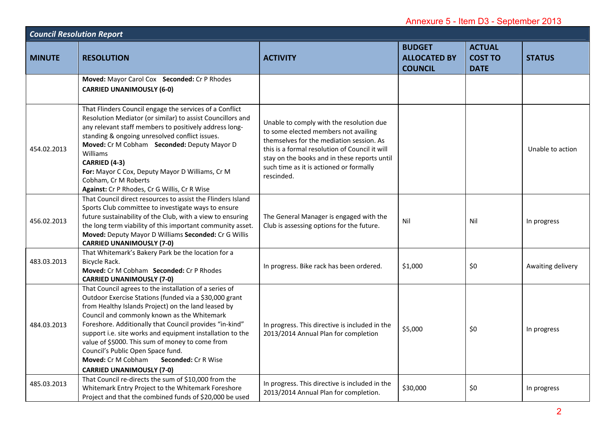|                                  |                                                                                                                                                                                                                                                                                                                                                                                                                                                                                                                         |                                                                                                                                                                                                                                                                                         | Annexure 5 - Item D3 - September 2013                  |                                                |                   |
|----------------------------------|-------------------------------------------------------------------------------------------------------------------------------------------------------------------------------------------------------------------------------------------------------------------------------------------------------------------------------------------------------------------------------------------------------------------------------------------------------------------------------------------------------------------------|-----------------------------------------------------------------------------------------------------------------------------------------------------------------------------------------------------------------------------------------------------------------------------------------|--------------------------------------------------------|------------------------------------------------|-------------------|
| <b>Council Resolution Report</b> |                                                                                                                                                                                                                                                                                                                                                                                                                                                                                                                         |                                                                                                                                                                                                                                                                                         |                                                        |                                                |                   |
| <b>MINUTE</b>                    | <b>RESOLUTION</b>                                                                                                                                                                                                                                                                                                                                                                                                                                                                                                       | <b>ACTIVITY</b>                                                                                                                                                                                                                                                                         | <b>BUDGET</b><br><b>ALLOCATED BY</b><br><b>COUNCIL</b> | <b>ACTUAL</b><br><b>COST TO</b><br><b>DATE</b> | <b>STATUS</b>     |
|                                  | Moved: Mayor Carol Cox Seconded: Cr P Rhodes<br><b>CARRIED UNANIMOUSLY (6-0)</b>                                                                                                                                                                                                                                                                                                                                                                                                                                        |                                                                                                                                                                                                                                                                                         |                                                        |                                                |                   |
| 454.02.2013                      | That Flinders Council engage the services of a Conflict<br>Resolution Mediator (or similar) to assist Councillors and<br>any relevant staff members to positively address long-<br>standing & ongoing unresolved conflict issues.<br>Moved: Cr M Cobham Seconded: Deputy Mayor D<br>Williams<br>CARRIED (4-3)<br>For: Mayor C Cox, Deputy Mayor D Williams, Cr M<br>Cobham, Cr M Roberts<br>Against: Cr P Rhodes, Cr G Willis, Cr R Wise                                                                                | Unable to comply with the resolution due<br>to some elected members not availing<br>themselves for the mediation session. As<br>this is a formal resolution of Council it will<br>stay on the books and in these reports until<br>such time as it is actioned or formally<br>rescinded. |                                                        |                                                | Unable to action  |
| 456.02.2013                      | That Council direct resources to assist the Flinders Island<br>Sports Club committee to investigate ways to ensure<br>future sustainability of the Club, with a view to ensuring<br>the long term viability of this important community asset.<br>Moved: Deputy Mayor D Williams Seconded: Cr G Willis<br><b>CARRIED UNANIMOUSLY (7-0)</b>                                                                                                                                                                              | The General Manager is engaged with the<br>Club is assessing options for the future.                                                                                                                                                                                                    | Nil                                                    | Nil                                            | In progress       |
| 483.03.2013                      | That Whitemark's Bakery Park be the location for a<br>Bicycle Rack.<br>Moved: Cr M Cobham Seconded: Cr P Rhodes<br><b>CARRIED UNANIMOUSLY (7-0)</b>                                                                                                                                                                                                                                                                                                                                                                     | In progress. Bike rack has been ordered.                                                                                                                                                                                                                                                | \$1,000                                                | \$0                                            | Awaiting delivery |
| 484.03.2013                      | That Council agrees to the installation of a series of<br>Outdoor Exercise Stations (funded via a \$30,000 grant<br>from Healthy Islands Project) on the land leased by<br>Council and commonly known as the Whitemark<br>Foreshore. Additionally that Council provides "in-kind"<br>support i.e. site works and equipment installation to the<br>value of \$5000. This sum of money to come from<br>Council's Public Open Space fund.<br>Moved: Cr M Cobham<br>Seconded: Cr R Wise<br><b>CARRIED UNANIMOUSLY (7-0)</b> | In progress. This directive is included in the<br>2013/2014 Annual Plan for completion                                                                                                                                                                                                  | \$5,000                                                | \$0                                            | In progress       |
| 485.03.2013                      | That Council re-directs the sum of \$10,000 from the<br>Whitemark Entry Project to the Whitemark Foreshore<br>Project and that the combined funds of \$20,000 be used                                                                                                                                                                                                                                                                                                                                                   | In progress. This directive is included in the<br>2013/2014 Annual Plan for completion.                                                                                                                                                                                                 | \$30,000                                               | \$0                                            | In progress       |
|                                  |                                                                                                                                                                                                                                                                                                                                                                                                                                                                                                                         |                                                                                                                                                                                                                                                                                         |                                                        |                                                | റ                 |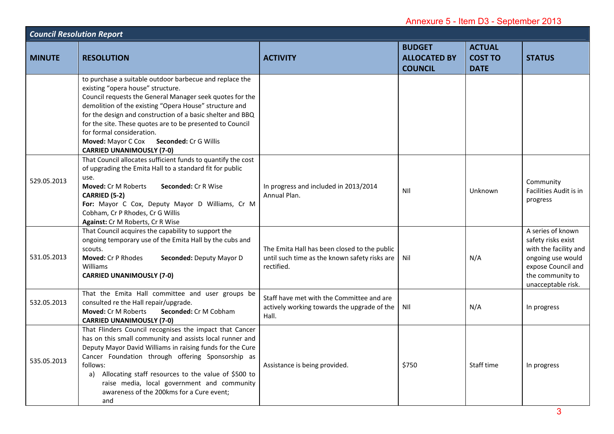| Annexure 5 - Item D3 - September 2013 |                                                                                                                                                                                                                                                                                                                                                                                                                                                            |                                                                                                             |                                                        |                                                |                                                                                                                                                       |
|---------------------------------------|------------------------------------------------------------------------------------------------------------------------------------------------------------------------------------------------------------------------------------------------------------------------------------------------------------------------------------------------------------------------------------------------------------------------------------------------------------|-------------------------------------------------------------------------------------------------------------|--------------------------------------------------------|------------------------------------------------|-------------------------------------------------------------------------------------------------------------------------------------------------------|
| <b>Council Resolution Report</b>      |                                                                                                                                                                                                                                                                                                                                                                                                                                                            |                                                                                                             |                                                        |                                                |                                                                                                                                                       |
| <b>MINUTE</b>                         | <b>RESOLUTION</b>                                                                                                                                                                                                                                                                                                                                                                                                                                          | <b>ACTIVITY</b>                                                                                             | <b>BUDGET</b><br><b>ALLOCATED BY</b><br><b>COUNCIL</b> | <b>ACTUAL</b><br><b>COST TO</b><br><b>DATE</b> | <b>STATUS</b>                                                                                                                                         |
|                                       | to purchase a suitable outdoor barbecue and replace the<br>existing "opera house" structure.<br>Council requests the General Manager seek quotes for the<br>demolition of the existing "Opera House" structure and<br>for the design and construction of a basic shelter and BBQ<br>for the site. These quotes are to be presented to Council<br>for formal consideration.<br>Moved: Mayor C Cox Seconded: Cr G Willis<br><b>CARRIED UNANIMOUSLY (7-0)</b> |                                                                                                             |                                                        |                                                |                                                                                                                                                       |
| 529.05.2013                           | That Council allocates sufficient funds to quantify the cost<br>of upgrading the Emita Hall to a standard fit for public<br>use.<br><b>Moved: Cr M Roberts</b><br>Seconded: Cr R Wise<br>CARRIED (5-2)<br>For: Mayor C Cox, Deputy Mayor D Williams, Cr M<br>Cobham, Cr P Rhodes, Cr G Willis<br>Against: Cr M Roberts, Cr R Wise                                                                                                                          | In progress and included in 2013/2014<br>Annual Plan.                                                       | NII                                                    | Unknown                                        | Community<br>Facilities Audit is in<br>progress                                                                                                       |
| 531.05.2013                           | That Council acquires the capability to support the<br>ongoing temporary use of the Emita Hall by the cubs and<br>scouts.<br>Moved: Cr P Rhodes<br>Seconded: Deputy Mayor D<br>Williams<br><b>CARRIED UNANIMOUSLY (7-0)</b>                                                                                                                                                                                                                                | The Emita Hall has been closed to the public<br>until such time as the known safety risks are<br>rectified. | Nil                                                    | N/A                                            | A series of known<br>safety risks exist<br>with the facility and<br>ongoing use would<br>expose Council and<br>the community to<br>unacceptable risk. |
| 532.05.2013                           | That the Emita Hall committee and user groups be<br>consulted re the Hall repair/upgrade.<br><b>Moved: Cr M Roberts</b><br>Seconded: Cr M Cobham<br><b>CARRIED UNANIMOUSLY (7-0)</b>                                                                                                                                                                                                                                                                       | Staff have met with the Committee and are<br>actively working towards the upgrade of the<br>Hall.           | NII                                                    | N/A                                            | In progress                                                                                                                                           |
| 535.05.2013                           | That Flinders Council recognises the impact that Cancer<br>has on this small community and assists local runner and<br>Deputy Mayor David Williams in raising funds for the Cure<br>Cancer Foundation through offering Sponsorship as<br>follows:<br>Allocating staff resources to the value of \$500 to<br>a)<br>raise media, local government and community<br>awareness of the 200kms for a Cure event;<br>and                                          | Assistance is being provided.                                                                               | \$750                                                  | Staff time                                     | In progress<br>२                                                                                                                                      |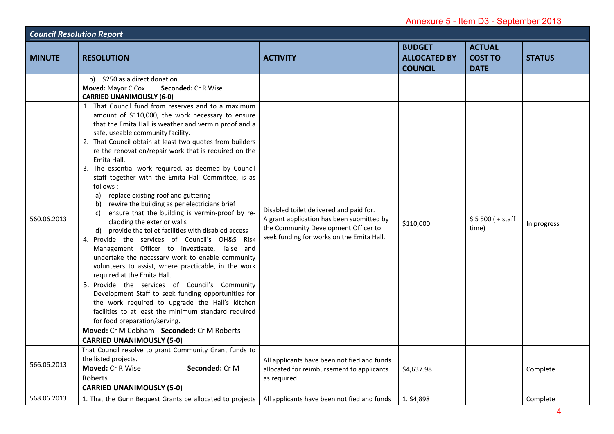|                                  |                                                                                                                                                                                                                                                                                                                                                                                                                                                                                                                                                                                                                                                                                                                                                                                                                                                                                                                                                                                                                                                                                                                                                                                                                                                                                                                     |                                                                                                                                                                           | Annexure 5 - Item D3 - September 2013                  |                                                |               |  |
|----------------------------------|---------------------------------------------------------------------------------------------------------------------------------------------------------------------------------------------------------------------------------------------------------------------------------------------------------------------------------------------------------------------------------------------------------------------------------------------------------------------------------------------------------------------------------------------------------------------------------------------------------------------------------------------------------------------------------------------------------------------------------------------------------------------------------------------------------------------------------------------------------------------------------------------------------------------------------------------------------------------------------------------------------------------------------------------------------------------------------------------------------------------------------------------------------------------------------------------------------------------------------------------------------------------------------------------------------------------|---------------------------------------------------------------------------------------------------------------------------------------------------------------------------|--------------------------------------------------------|------------------------------------------------|---------------|--|
| <b>Council Resolution Report</b> |                                                                                                                                                                                                                                                                                                                                                                                                                                                                                                                                                                                                                                                                                                                                                                                                                                                                                                                                                                                                                                                                                                                                                                                                                                                                                                                     |                                                                                                                                                                           |                                                        |                                                |               |  |
| <b>MINUTE</b>                    | <b>RESOLUTION</b>                                                                                                                                                                                                                                                                                                                                                                                                                                                                                                                                                                                                                                                                                                                                                                                                                                                                                                                                                                                                                                                                                                                                                                                                                                                                                                   | <b>ACTIVITY</b>                                                                                                                                                           | <b>BUDGET</b><br><b>ALLOCATED BY</b><br><b>COUNCIL</b> | <b>ACTUAL</b><br><b>COST TO</b><br><b>DATE</b> | <b>STATUS</b> |  |
|                                  | b) \$250 as a direct donation.<br>Moved: Mayor C Cox<br><b>Seconded: Cr R Wise</b><br><b>CARRIED UNANIMOUSLY (6-0)</b>                                                                                                                                                                                                                                                                                                                                                                                                                                                                                                                                                                                                                                                                                                                                                                                                                                                                                                                                                                                                                                                                                                                                                                                              |                                                                                                                                                                           |                                                        |                                                |               |  |
| 560.06.2013                      | 1. That Council fund from reserves and to a maximum<br>amount of \$110,000, the work necessary to ensure<br>that the Emita Hall is weather and vermin proof and a<br>safe, useable community facility.<br>2. That Council obtain at least two quotes from builders<br>re the renovation/repair work that is required on the<br>Emita Hall.<br>3. The essential work required, as deemed by Council<br>staff together with the Emita Hall Committee, is as<br>follows :-<br>replace existing roof and guttering<br>a)<br>rewire the building as per electricians brief<br>b)<br>ensure that the building is vermin-proof by re-<br>C)<br>cladding the exterior walls<br>provide the toilet facilities with disabled access<br>d)<br>4. Provide the services of Council's OH&S Risk<br>Management Officer to investigate, liaise and<br>undertake the necessary work to enable community<br>volunteers to assist, where practicable, in the work<br>required at the Emita Hall.<br>5. Provide the services of Council's Community<br>Development Staff to seek funding opportunities for<br>the work required to upgrade the Hall's kitchen<br>facilities to at least the minimum standard required<br>for food preparation/serving.<br>Moved: Cr M Cobham Seconded: Cr M Roberts<br><b>CARRIED UNANIMOUSLY (5-0)</b> | Disabled toilet delivered and paid for.<br>A grant application has been submitted by<br>the Community Development Officer to<br>seek funding for works on the Emita Hall. | \$110,000                                              | $$5500 (+ statf)$<br>time)                     | In progress   |  |
| 566.06.2013                      | That Council resolve to grant Community Grant funds to<br>the listed projects.<br>Moved: Cr R Wise<br>Seconded: Cr M<br>Roberts<br><b>CARRIED UNANIMOUSLY (5-0)</b>                                                                                                                                                                                                                                                                                                                                                                                                                                                                                                                                                                                                                                                                                                                                                                                                                                                                                                                                                                                                                                                                                                                                                 | All applicants have been notified and funds<br>allocated for reimbursement to applicants<br>as required.                                                                  | \$4,637.98                                             |                                                | Complete      |  |
| 568.06.2013                      | 1. That the Gunn Bequest Grants be allocated to projects                                                                                                                                                                                                                                                                                                                                                                                                                                                                                                                                                                                                                                                                                                                                                                                                                                                                                                                                                                                                                                                                                                                                                                                                                                                            | All applicants have been notified and funds                                                                                                                               | 1. \$4,898                                             |                                                | Complete      |  |
|                                  |                                                                                                                                                                                                                                                                                                                                                                                                                                                                                                                                                                                                                                                                                                                                                                                                                                                                                                                                                                                                                                                                                                                                                                                                                                                                                                                     |                                                                                                                                                                           |                                                        |                                                | Δ             |  |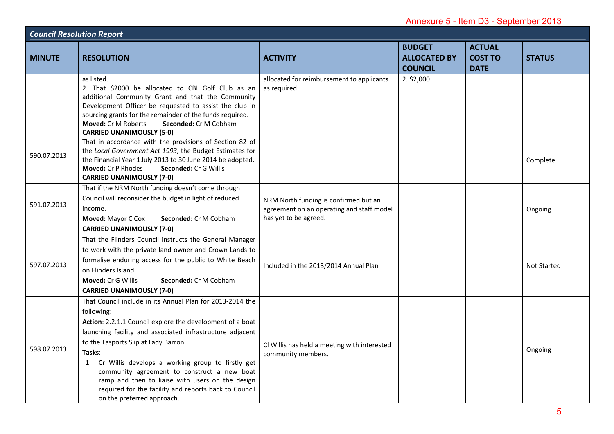| Annexure 5 - Item D3 - September 2013 |                                                                                                                                                                                                                                                                                                                                                                                                                                                                                                       |                                                                                                             |                                                        |                                                |                    |
|---------------------------------------|-------------------------------------------------------------------------------------------------------------------------------------------------------------------------------------------------------------------------------------------------------------------------------------------------------------------------------------------------------------------------------------------------------------------------------------------------------------------------------------------------------|-------------------------------------------------------------------------------------------------------------|--------------------------------------------------------|------------------------------------------------|--------------------|
| <b>Council Resolution Report</b>      |                                                                                                                                                                                                                                                                                                                                                                                                                                                                                                       |                                                                                                             |                                                        |                                                |                    |
| <b>MINUTE</b>                         | <b>RESOLUTION</b>                                                                                                                                                                                                                                                                                                                                                                                                                                                                                     | <b>ACTIVITY</b>                                                                                             | <b>BUDGET</b><br><b>ALLOCATED BY</b><br><b>COUNCIL</b> | <b>ACTUAL</b><br><b>COST TO</b><br><b>DATE</b> | <b>STATUS</b>      |
|                                       | as listed.<br>2. That \$2000 be allocated to CBI Golf Club as an<br>additional Community Grant and that the Community<br>Development Officer be requested to assist the club in<br>sourcing grants for the remainder of the funds required.<br>Moved: Cr M Roberts<br>Seconded: Cr M Cobham<br><b>CARRIED UNANIMOUSLY (5-0)</b>                                                                                                                                                                       | allocated for reimbursement to applicants<br>as required.                                                   | $2.$ \$2,000                                           |                                                |                    |
| 590.07.2013                           | That in accordance with the provisions of Section 82 of<br>the Local Government Act 1993, the Budget Estimates for<br>the Financial Year 1 July 2013 to 30 June 2014 be adopted.<br>Moved: Cr P Rhodes<br>Seconded: Cr G Willis<br><b>CARRIED UNANIMOUSLY (7-0)</b>                                                                                                                                                                                                                                   |                                                                                                             |                                                        |                                                | Complete           |
| 591.07.2013                           | That if the NRM North funding doesn't come through<br>Council will reconsider the budget in light of reduced<br>income.<br>Moved: Mayor C Cox<br>Seconded: Cr M Cobham<br><b>CARRIED UNANIMOUSLY (7-0)</b>                                                                                                                                                                                                                                                                                            | NRM North funding is confirmed but an<br>agreement on an operating and staff model<br>has yet to be agreed. |                                                        |                                                | Ongoing            |
| 597.07.2013                           | That the Flinders Council instructs the General Manager<br>to work with the private land owner and Crown Lands to<br>formalise enduring access for the public to White Beach<br>on Flinders Island.<br>Moved: Cr G Willis<br>Seconded: Cr M Cobham<br><b>CARRIED UNANIMOUSLY (7-0)</b>                                                                                                                                                                                                                | Included in the 2013/2014 Annual Plan                                                                       |                                                        |                                                | <b>Not Started</b> |
| 598.07.2013                           | That Council include in its Annual Plan for 2013-2014 the<br>following:<br>Action: 2.2.1.1 Council explore the development of a boat<br>launching facility and associated infrastructure adjacent<br>to the Tasports Slip at Lady Barron.<br>Tasks:<br>1. Cr Willis develops a working group to firstly get<br>community agreement to construct a new boat<br>ramp and then to liaise with users on the design<br>required for the facility and reports back to Council<br>on the preferred approach. | CI Willis has held a meeting with interested<br>community members.                                          |                                                        |                                                | Ongoing            |
|                                       |                                                                                                                                                                                                                                                                                                                                                                                                                                                                                                       |                                                                                                             |                                                        |                                                | 5                  |